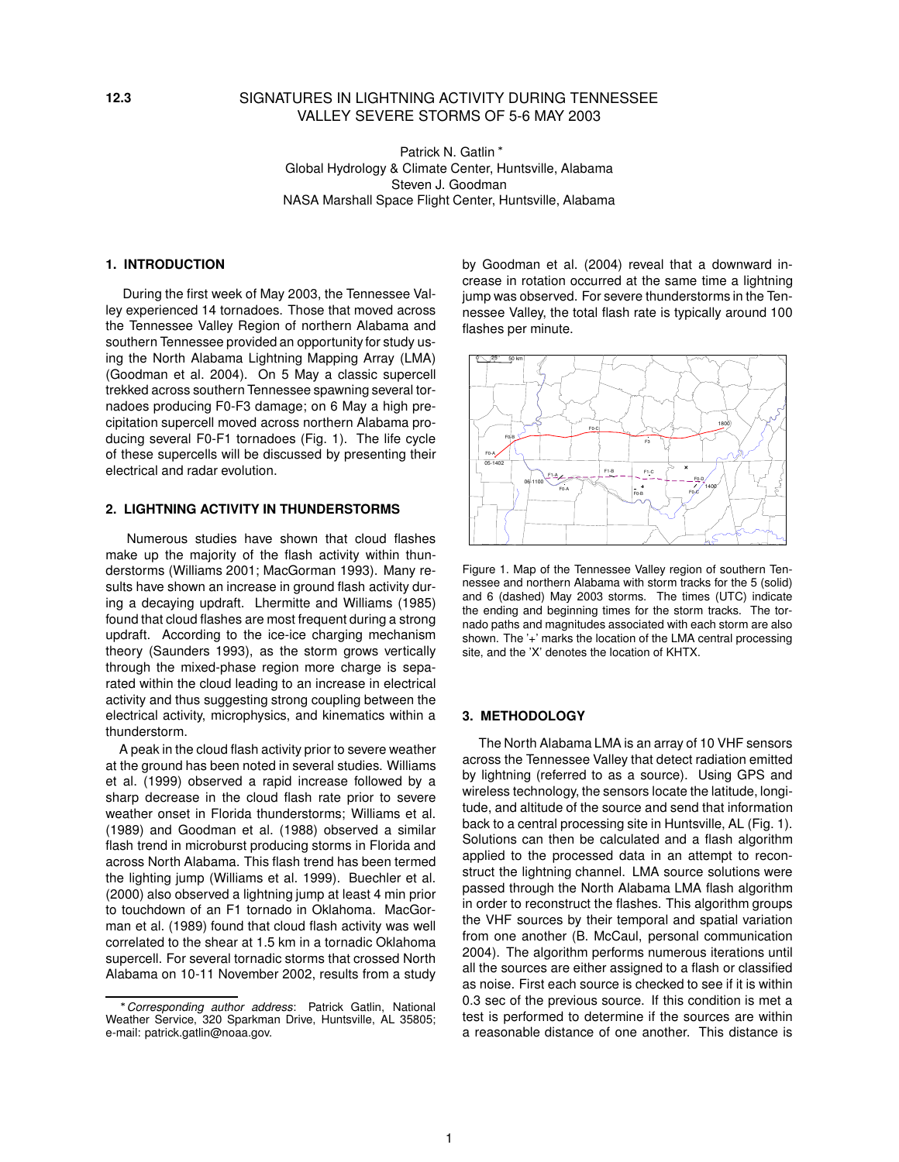## **12.3** SIGNATURES IN LIGHTNING ACTIVITY DURING TENNESSEE VALLEY SEVERE STORMS OF 5-6 MAY 2003

Patrick N. Gatlin \* Global Hydrology & Climate Center, Huntsville, Alabama Steven J. Goodman NASA Marshall Space Flight Center, Huntsville, Alabama

# **1. INTRODUCTION**

During the first week of May 2003, the Tennessee Valley experienced 14 tornadoes. Those that moved across the Tennessee Valley Region of northern Alabama and southern Tennessee provided an opportunity for study using the North Alabama Lightning Mapping Array (LMA) (Goodman et al. 2004). On 5 May a classic supercell trekked across southern Tennessee spawning several tornadoes producing F0-F3 damage; on 6 May a high precipitation supercell moved across northern Alabama producing several F0-F1 tornadoes (Fig. 1). The life cycle of these supercells will be discussed by presenting their electrical and radar evolution.

### **2. LIGHTNING ACTIVITY IN THUNDERSTORMS**

Numerous studies have shown that cloud flashes make up the majority of the flash activity within thunderstorms (Williams 2001; MacGorman 1993). Many results have shown an increase in ground flash activity during a decaying updraft. Lhermitte and Williams (1985) found that cloud flashes are most frequent during a strong updraft. According to the ice-ice charging mechanism theory (Saunders 1993), as the storm grows vertically through the mixed-phase region more charge is separated within the cloud leading to an increase in electrical activity and thus suggesting strong coupling between the electrical activity, microphysics, and kinematics within a thunderstorm.

A peak in the cloud flash activity prior to severe weather at the ground has been noted in several studies. Williams et al. (1999) observed a rapid increase followed by a sharp decrease in the cloud flash rate prior to severe weather onset in Florida thunderstorms; Williams et al. (1989) and Goodman et al. (1988) observed a similar flash trend in microburst producing storms in Florida and across North Alabama. This flash trend has been termed the lighting jump (Williams et al. 1999). Buechler et al. (2000) also observed a lightning jump at least 4 min prior to touchdown of an F1 tornado in Oklahoma. MacGorman et al. (1989) found that cloud flash activity was well correlated to the shear at 1.5 km in a tornadic Oklahoma supercell. For several tornadic storms that crossed North Alabama on 10-11 November 2002, results from a study

by Goodman et al. (2004) reveal that a downward increase in rotation occurred at the same time a lightning jump was observed. For severe thunderstorms in the Tennessee Valley, the total flash rate is typically around 100 flashes per minute.



Figure 1. Map of the Tennessee Valley region of southern Tennessee and northern Alabama with storm tracks for the 5 (solid) and 6 (dashed) May 2003 storms. The times (UTC) indicate the ending and beginning times for the storm tracks. The tornado paths and magnitudes associated with each storm are also shown. The '+' marks the location of the LMA central processing site, and the 'X' denotes the location of KHTX.

### **3. METHODOLOGY**

The North Alabama LMA is an array of 10 VHF sensors across the Tennessee Valley that detect radiation emitted by lightning (referred to as a source). Using GPS and wireless technology, the sensors locate the latitude, longitude, and altitude of the source and send that information back to a central processing site in Huntsville, AL (Fig. 1). Solutions can then be calculated and a flash algorithm applied to the processed data in an attempt to reconstruct the lightning channel. LMA source solutions were passed through the North Alabama LMA flash algorithm in order to reconstruct the flashes. This algorithm groups the VHF sources by their temporal and spatial variation from one another (B. McCaul, personal communication 2004). The algorithm performs numerous iterations until all the sources are either assigned to a flash or classified as noise. First each source is checked to see if it is within 0.3 sec of the previous source. If this condition is met a test is performed to determine if the sources are within a reasonable distance of one another. This distance is

Corresponding author address: Patrick Gatlin, National Weather Service, 320 Sparkman Drive, Huntsville, AL 35805; e-mail: patrick.gatlin@noaa.gov.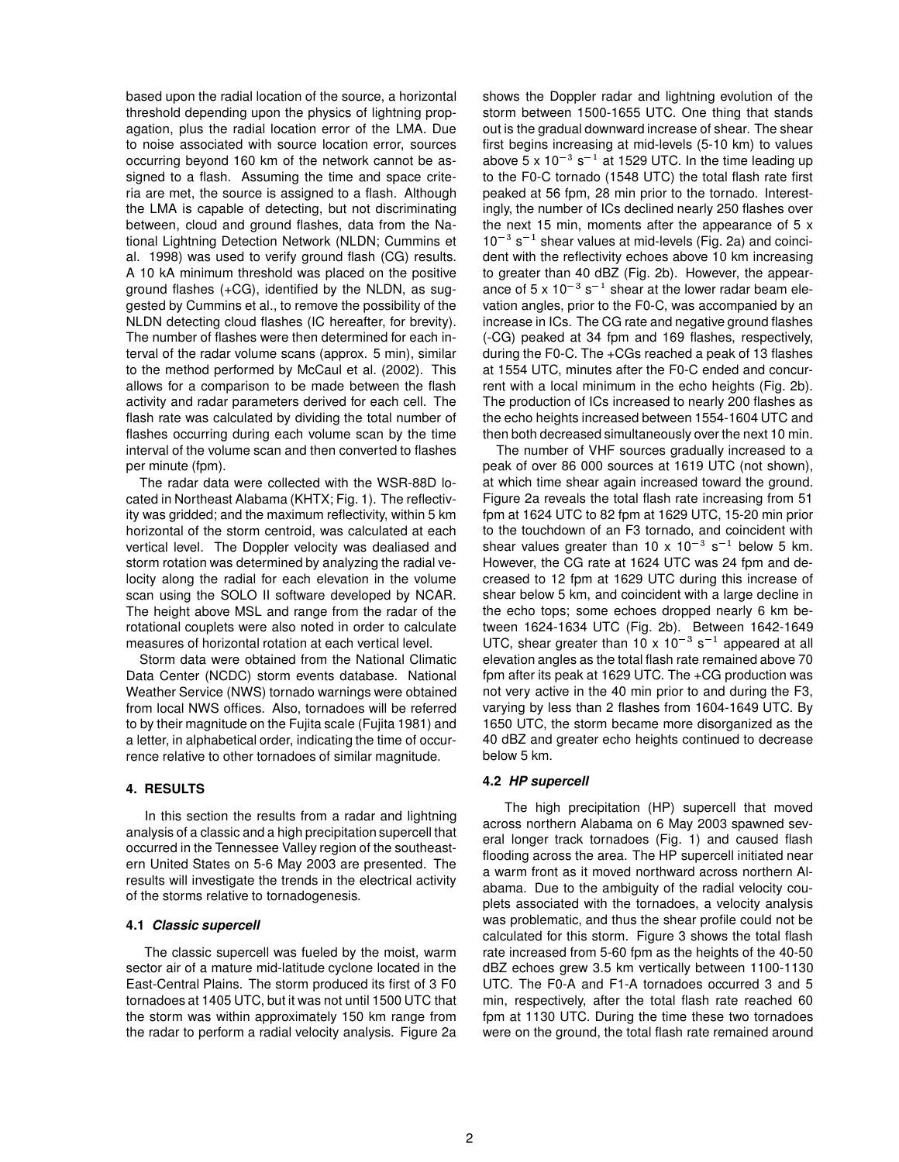based upon the radial location of the source, a horizontal threshold depending upon the physics of lightning propagation, plus the radial location error of the LMA. Due to noise associated with source location error, sources occurring beyond 160 km of the network cannot be assigned to a flash. Assuming the time and space criteria are met, the source is assigned to a flash. Although the LMA is capable of detecting, but not discriminating between, cloud and ground flashes, data from the National Lightning Detection Network (NLDN; Cummins et al. 1998) was used to verify ground flash (CG) results. A 10 kA minimum threshold was placed on the positive ground flashes (+CG), identified by the NLDN, as suggested by Cummins et al., to remove the possibility of the NLDN detecting cloud flashes (IC hereafter, for brevity). The number of flashes were then determined for each interval of the radar volume scans (approx. 5 min), similar to the method performed by McCaul et al. (2002). This allows for a comparison to be made between the flash activity and radar parameters derived for each cell. The flash rate was calculated by dividing the total number of flashes occurring during each volume scan by the time interval of the volume scan and then converted to flashes per minute (fpm).

The radar data were collected with the WSR-88D located in Northeast Alabama (KHTX; Fig. 1). The reflectivity was gridded; and the maximum reflectivity, within 5 km horizontal of the storm centroid, was calculated at each vertical level. The Doppler velocity was dealiased and storm rotation was determined by analyzing the radial velocity along the radial for each elevation in the volume scan using the SOLO II software developed by NCAR. The height above MSL and range from the radar of the rotational couplets were also noted in order to calculate measures of horizontal rotation at each vertical level.

Storm data were obtained from the National Climatic Data Center (NCDC) storm events database. National Weather Service (NWS) tornado warnings were obtained from local NWS offices. Also, tornadoes will be referred to by their magnitude on the Fujita scale (Fujita 1981) and a letter, in alphabetical order, indicating the time of occurrence relative to other tornadoes of similar magnitude.

### **4. RESULTS**

In this section the results from a radar and lightning analysis of a classic and a high precipitation supercell that occurred in the Tennessee Valley region of the southeastern United States on 5-6 May 2003 are presented. The results will investigate the trends in the electrical activity of the storms relative to tornadogenesis.

### **4.1 Classic supercell**

The classic supercell was fueled by the moist, warm sector air of a mature mid-latitude cyclone located in the East-Central Plains. The storm produced its first of 3 F0 tornadoes at 1405 UTC, but it was not until 1500 UTC that the storm was within approximately 150 km range from the radar to perform a radial velocity analysis. Figure 2a shows the Doppler radar and lightning evolution of the storm between 1500-1655 UTC. One thing that stands out is the gradual downward increase of shear. The shear first begins increasing at mid-levels (5-10 km) to values above 5 x 10 $^{-3}$  s $^{-1}$  at 1529 UTC. In the time leading up to the F0-C tornado (1548 UTC) the total flash rate first peaked at 56 fpm, 28 min prior to the tornado. Interestingly, the number of ICs declined nearly 250 flashes over the next 15 min, moments after the appearance of 5 x  $10^{-3}$  s<sup>-1</sup> shear values at mid-levels (Fig. 2a) and coincident with the reflectivity echoes above 10 km increasing to greater than 40 dBZ (Fig. 2b). However, the appearance of 5 x 10 $^{-3}$  s $^{-1}$  shear at the lower radar beam elevation angles, prior to the F0-C, was accompanied by an increase in ICs. The CG rate and negative ground flashes (-CG) peaked at 34 fpm and 169 flashes, respectively, during the F0-C. The +CGs reached a peak of 13 flashes at 1554 UTC, minutes after the F0-C ended and concurrent with a local minimum in the echo heights (Fig. 2b). The production of ICs increased to nearly 200 flashes as the echo heights increased between 1554-1604 UTC and then both decreased simultaneously over the next 10 min.

The number of VHF sources gradually increased to a peak of over 86 000 sources at 1619 UTC (not shown), at which time shear again increased toward the ground. Figure 2a reveals the total flash rate increasing from 51 fpm at 1624 UTC to 82 fpm at 1629 UTC, 15-20 min prior to the touchdown of an F3 tornado, and coincident with shear values greater than 10 x 10<sup>-3</sup> s<sup>-1</sup> below 5 km. However, the CG rate at 1624 UTC was 24 fpm and decreased to 12 fpm at 1629 UTC during this increase of shear below 5 km, and coincident with a large decline in the echo tops; some echoes dropped nearly 6 km between 1624-1634 UTC (Fig. 2b). Between 1642-1649 UTC, shear greater than 10 x 10<sup>-3</sup> s<sup>-1</sup> appeared at all elevation angles as the total flash rate remained above 70 fpm after its peak at 1629 UTC. The +CG production was not very active in the 40 min prior to and during the F3, varying by less than 2 flashes from 1604-1649 UTC. By 1650 UTC, the storm became more disorganized as the 40 dBZ and greater echo heights continued to decrease below 5 km.

### **4.2 HP supercell**

The high precipitation (HP) supercell that moved across northern Alabama on 6 May 2003 spawned several longer track tornadoes (Fig. 1) and caused flash flooding across the area. The HP supercell initiated near a warm front as it moved northward across northern Alabama. Due to the ambiguity of the radial velocity couplets associated with the tornadoes, a velocity analysis was problematic, and thus the shear profile could not be calculated for this storm. Figure 3 shows the total flash rate increased from 5-60 fpm as the heights of the 40-50 dBZ echoes grew 3.5 km vertically between 1100-1130 UTC. The F0-A and F1-A tornadoes occurred 3 and 5 min, respectively, after the total flash rate reached 60 fpm at 1130 UTC. During the time these two tornadoes were on the ground, the total flash rate remained around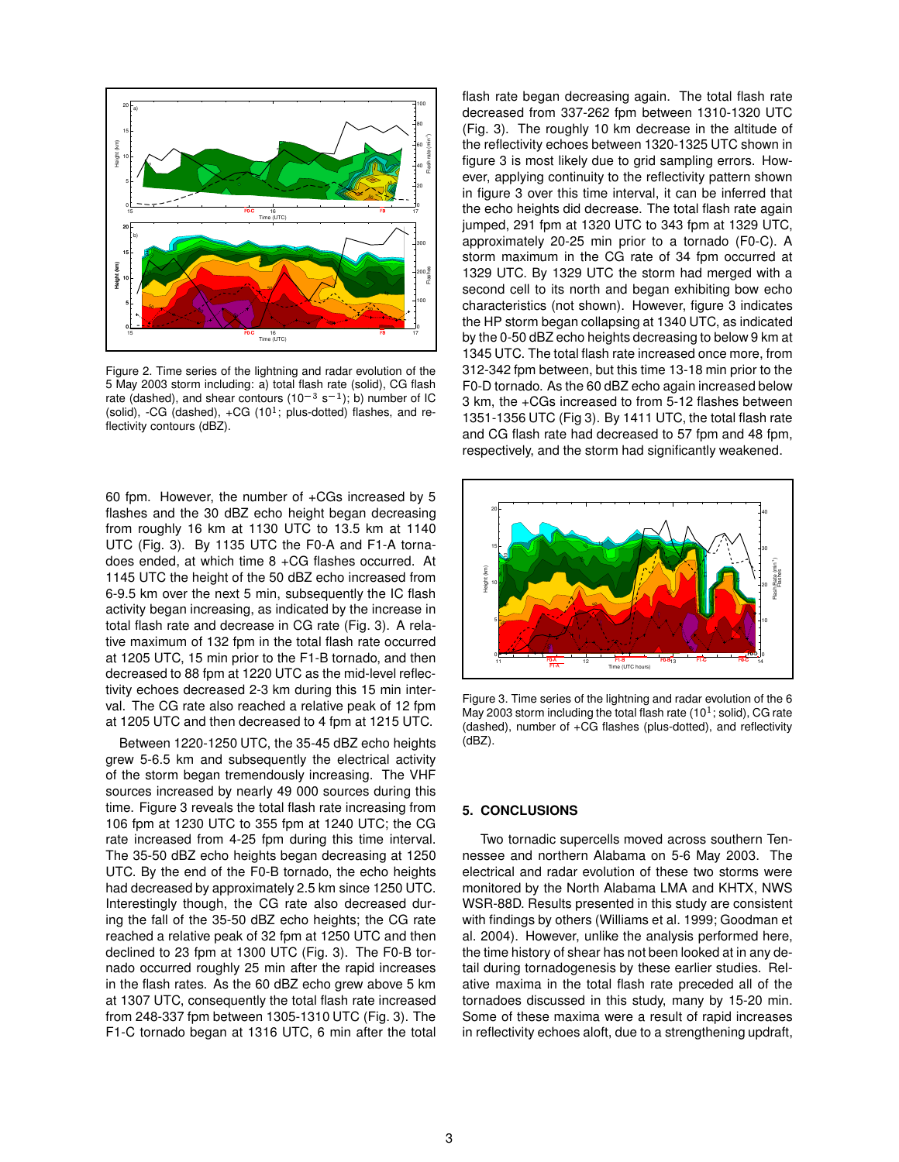

Figure 2. Time series of the lightning and radar evolution of the 5 May 2003 storm including: a) total flash rate (solid), CG flash rate (dashed), and shear contours (10<sup>-3</sup> s<sup>-1</sup>); b) number of IC (solid), -CG (dashed),  $+CG$  (10<sup>1</sup>; plus-dotted) flashes, and reflectivity contours (dBZ).

60 fpm. However, the number of +CGs increased by 5 flashes and the 30 dBZ echo height began decreasing from roughly 16 km at 1130 UTC to 13.5 km at 1140 UTC (Fig. 3). By 1135 UTC the F0-A and F1-A tornadoes ended, at which time 8 +CG flashes occurred. At 1145 UTC the height of the 50 dBZ echo increased from 6-9.5 km over the next 5 min, subsequently the IC flash activity began increasing, as indicated by the increase in total flash rate and decrease in CG rate (Fig. 3). A relative maximum of 132 fpm in the total flash rate occurred at 1205 UTC, 15 min prior to the F1-B tornado, and then decreased to 88 fpm at 1220 UTC as the mid-level reflectivity echoes decreased 2-3 km during this 15 min interval. The CG rate also reached a relative peak of 12 fpm at 1205 UTC and then decreased to 4 fpm at 1215 UTC.

Between 1220-1250 UTC, the 35-45 dBZ echo heights grew 5-6.5 km and subsequently the electrical activity of the storm began tremendously increasing. The VHF sources increased by nearly 49 000 sources during this time. Figure 3 reveals the total flash rate increasing from 106 fpm at 1230 UTC to 355 fpm at 1240 UTC; the CG rate increased from 4-25 fpm during this time interval. The 35-50 dBZ echo heights began decreasing at 1250 UTC. By the end of the F0-B tornado, the echo heights had decreased by approximately 2.5 km since 1250 UTC. Interestingly though, the CG rate also decreased during the fall of the 35-50 dBZ echo heights; the CG rate reached a relative peak of 32 fpm at 1250 UTC and then declined to 23 fpm at 1300 UTC (Fig. 3). The F0-B tornado occurred roughly 25 min after the rapid increases in the flash rates. As the 60 dBZ echo grew above 5 km at 1307 UTC, consequently the total flash rate increased from 248-337 fpm between 1305-1310 UTC (Fig. 3). The F1-C tornado began at 1316 UTC, 6 min after the total flash rate began decreasing again. The total flash rate decreased from 337-262 fpm between 1310-1320 UTC (Fig. 3). The roughly 10 km decrease in the altitude of the reflectivity echoes between 1320-1325 UTC shown in figure 3 is most likely due to grid sampling errors. However, applying continuity to the reflectivity pattern shown in figure 3 over this time interval, it can be inferred that the echo heights did decrease. The total flash rate again jumped, 291 fpm at 1320 UTC to 343 fpm at 1329 UTC, approximately 20-25 min prior to a tornado (F0-C). A storm maximum in the CG rate of 34 fpm occurred at 1329 UTC. By 1329 UTC the storm had merged with a second cell to its north and began exhibiting bow echo characteristics (not shown). However, figure 3 indicates the HP storm began collapsing at 1340 UTC, as indicated by the 0-50 dBZ echo heights decreasing to below 9 km at 1345 UTC. The total flash rate increased once more, from 312-342 fpm between, but this time 13-18 min prior to the F0-D tornado. As the 60 dBZ echo again increased below 3 km, the +CGs increased to from 5-12 flashes between 1351-1356 UTC (Fig 3). By 1411 UTC, the total flash rate and CG flash rate had decreased to 57 fpm and 48 fpm, respectively, and the storm had significantly weakened.



Figure 3. Time series of the lightning and radar evolution of the 6 May 2003 storm including the total flash rate (10 $^1$ ; solid), CG rate (dashed), number of +CG flashes (plus-dotted), and reflectivity (dBZ).

#### **5. CONCLUSIONS**

Two tornadic supercells moved across southern Tennessee and northern Alabama on 5-6 May 2003. The electrical and radar evolution of these two storms were monitored by the North Alabama LMA and KHTX, NWS WSR-88D. Results presented in this study are consistent with findings by others (Williams et al. 1999; Goodman et al. 2004). However, unlike the analysis performed here, the time history of shear has not been looked at in any detail during tornadogenesis by these earlier studies. Relative maxima in the total flash rate preceded all of the tornadoes discussed in this study, many by 15-20 min. Some of these maxima were a result of rapid increases in reflectivity echoes aloft, due to a strengthening updraft,